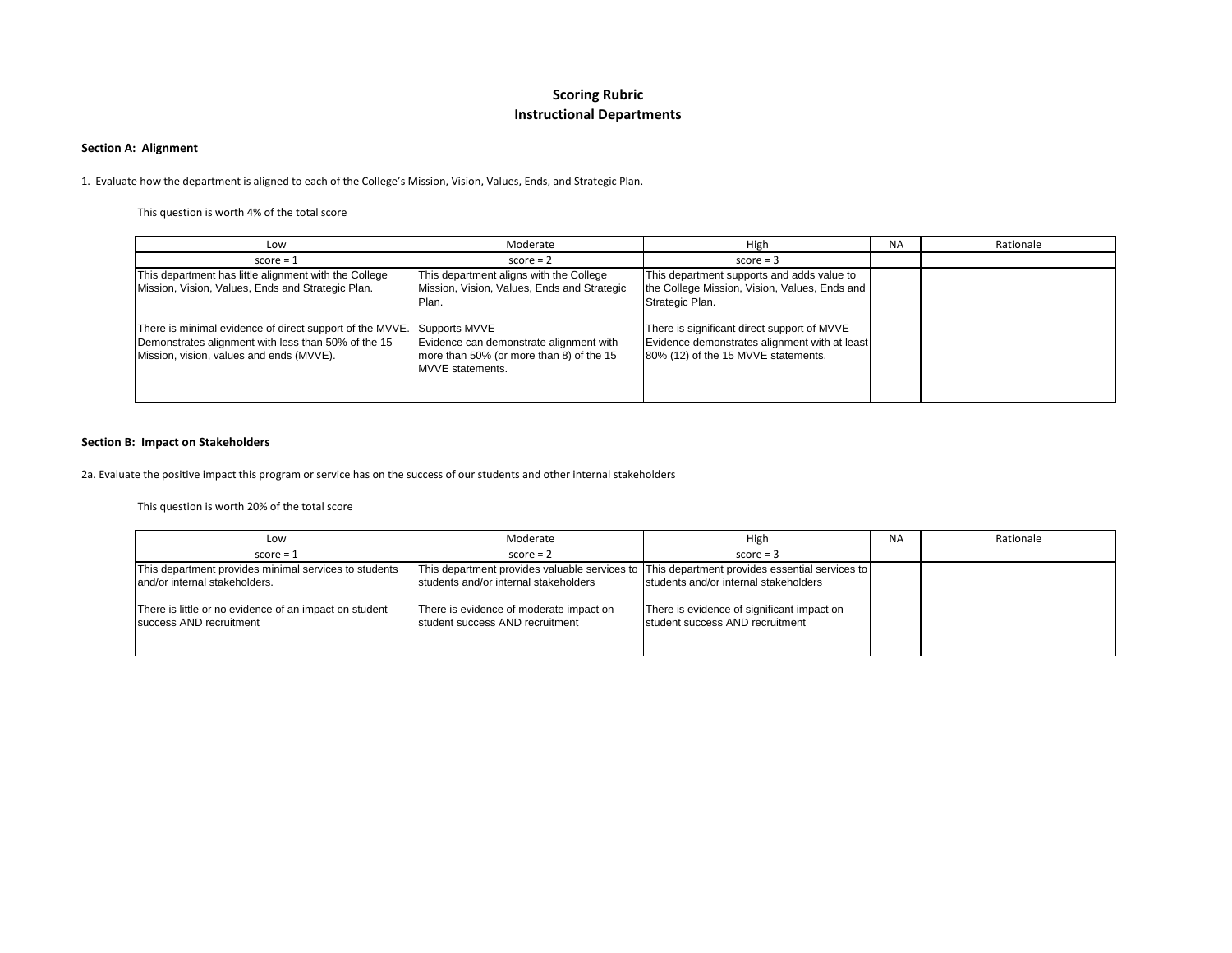# **Scoring Rubric Instructional Departments**

#### **Section A: Alignment**

1. Evaluate how the department is aligned to each of the College's Mission, Vision, Values, Ends, and Strategic Plan.

This question is worth 4% of the total score

| Low                                                                                                                                                         | Moderate                                                                                                                 | High                                                                                                                                | <b>NA</b> | Rationale |
|-------------------------------------------------------------------------------------------------------------------------------------------------------------|--------------------------------------------------------------------------------------------------------------------------|-------------------------------------------------------------------------------------------------------------------------------------|-----------|-----------|
| $score = 1$                                                                                                                                                 | $score = 2$                                                                                                              | $score = 3$                                                                                                                         |           |           |
| This department has little alignment with the College<br>Mission, Vision, Values, Ends and Strategic Plan.                                                  | This department aligns with the College<br>Mission, Vision, Values, Ends and Strategic<br>Plan.                          | This department supports and adds value to<br>the College Mission, Vision, Values, Ends and<br>Strategic Plan.                      |           |           |
| There is minimal evidence of direct support of the MVVE.<br>Demonstrates alignment with less than 50% of the 15<br>Mission, vision, values and ends (MVVE). | Supports MVVE<br>Evidence can demonstrate alignment with<br>more than 50% (or more than 8) of the 15<br>MVVE statements. | There is significant direct support of MVVE<br>Evidence demonstrates alignment with at least<br>80% (12) of the 15 MVVE statements. |           |           |

#### **Section B: Impact on Stakeholders**

2a. Evaluate the positive impact this program or service has on the success of our students and other internal stakeholders

This question is worth 20% of the total score

| Low                                                                                                                                                                         | Moderate                                                                                                            | High                                                                                                                                                                                                                   | <b>NA</b> | Rationale |
|-----------------------------------------------------------------------------------------------------------------------------------------------------------------------------|---------------------------------------------------------------------------------------------------------------------|------------------------------------------------------------------------------------------------------------------------------------------------------------------------------------------------------------------------|-----------|-----------|
| $score = 1$                                                                                                                                                                 | $score = 2$                                                                                                         | $score = 3$                                                                                                                                                                                                            |           |           |
| This department provides minimal services to students<br>and/or internal stakeholders.<br>There is little or no evidence of an impact on student<br>success AND recruitment | students and/or internal stakeholders<br>There is evidence of moderate impact on<br>student success AND recruitment | This department provides valuable services to This department provides essential services to<br>students and/or internal stakeholders<br>There is evidence of significant impact on<br>student success AND recruitment |           |           |
|                                                                                                                                                                             |                                                                                                                     |                                                                                                                                                                                                                        |           |           |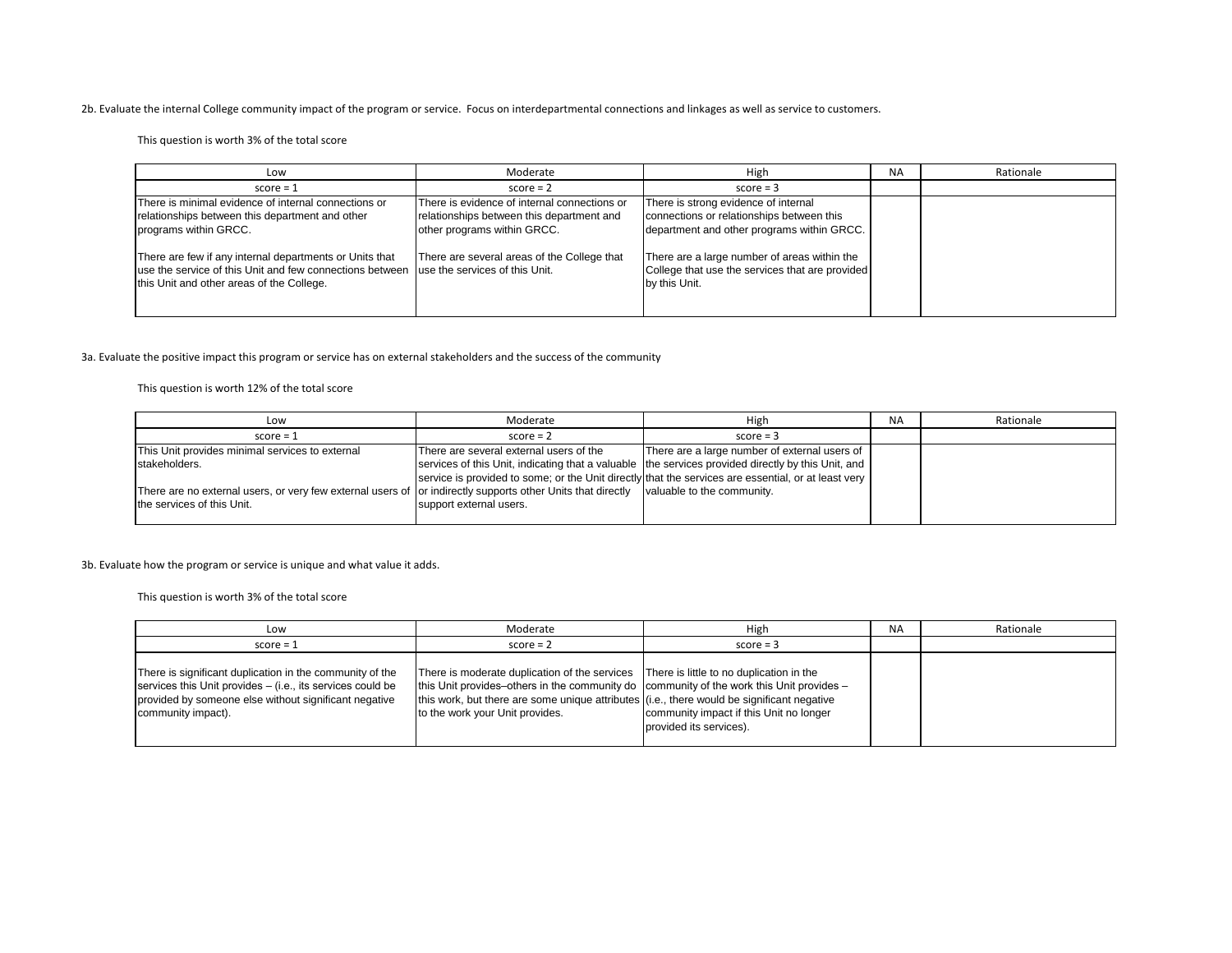#### 2b. Evaluate the internal College community impact of the program or service. Focus on interdepartmental connections and linkages as well as service to customers.

This question is worth 3% of the total score

| Low                                                                                                                                                                                             | Moderate                                                                                                                 | High                                                                                                                            | <b>NA</b> | Rationale |
|-------------------------------------------------------------------------------------------------------------------------------------------------------------------------------------------------|--------------------------------------------------------------------------------------------------------------------------|---------------------------------------------------------------------------------------------------------------------------------|-----------|-----------|
| $score = 1$                                                                                                                                                                                     | $score = 2$                                                                                                              | $score = 3$                                                                                                                     |           |           |
| There is minimal evidence of internal connections or<br>relationships between this department and other<br>programs within GRCC.                                                                | There is evidence of internal connections or<br>relationships between this department and<br>other programs within GRCC. | There is strong evidence of internal<br>connections or relationships between this<br>department and other programs within GRCC. |           |           |
| There are few if any internal departments or Units that<br>use the service of this Unit and few connections between use the services of this Unit.<br>this Unit and other areas of the College. | There are several areas of the College that                                                                              | There are a large number of areas within the<br>College that use the services that are provided<br>by this Unit.                |           |           |

#### 3a. Evaluate the positive impact this program or service has on external stakeholders and the success of the community

This question is worth 12% of the total score

| Low                                                                                                          | Moderate                                                                                            | High                                                                                               | <b>NA</b> | Rationale |
|--------------------------------------------------------------------------------------------------------------|-----------------------------------------------------------------------------------------------------|----------------------------------------------------------------------------------------------------|-----------|-----------|
| $score = 1$                                                                                                  | $score = 2$                                                                                         | $score = 3$                                                                                        |           |           |
| This Unit provides minimal services to external                                                              | There are several external users of the                                                             | There are a large number of external users of                                                      |           |           |
| stakeholders.                                                                                                |                                                                                                     | services of this Unit, indicating that a valuable the services provided directly by this Unit, and |           |           |
|                                                                                                              | service is provided to some; or the Unit directly that the services are essential, or at least very |                                                                                                    |           |           |
| There are no external users, or very few external users of Jor indirectly supports other Units that directly |                                                                                                     | valuable to the community.                                                                         |           |           |
| the services of this Unit.                                                                                   | support external users.                                                                             |                                                                                                    |           |           |
|                                                                                                              |                                                                                                     |                                                                                                    |           |           |

3b. Evaluate how the program or service is unique and what value it adds.

This question is worth 3% of the total score

| Low                                                                                                                                                                                                   | Moderate                                                                                                                                                                                                                                                                                                            | High                                                               | <b>NA</b> | Rationale |
|-------------------------------------------------------------------------------------------------------------------------------------------------------------------------------------------------------|---------------------------------------------------------------------------------------------------------------------------------------------------------------------------------------------------------------------------------------------------------------------------------------------------------------------|--------------------------------------------------------------------|-----------|-----------|
| $score = 1$                                                                                                                                                                                           | $score = 2$                                                                                                                                                                                                                                                                                                         | $score = 3$                                                        |           |           |
| There is significant duplication in the community of the<br>services this Unit provides – (i.e., its services could be<br>provided by someone else without significant negative<br>community impact). | There is moderate duplication of the services There is little to no duplication in the<br>this Unit provides-others in the community do community of the work this Unit provides -<br>this work, but there are some unique attributes (i.e., there would be significant negative<br>to the work your Unit provides. | community impact if this Unit no longer<br>provided its services). |           |           |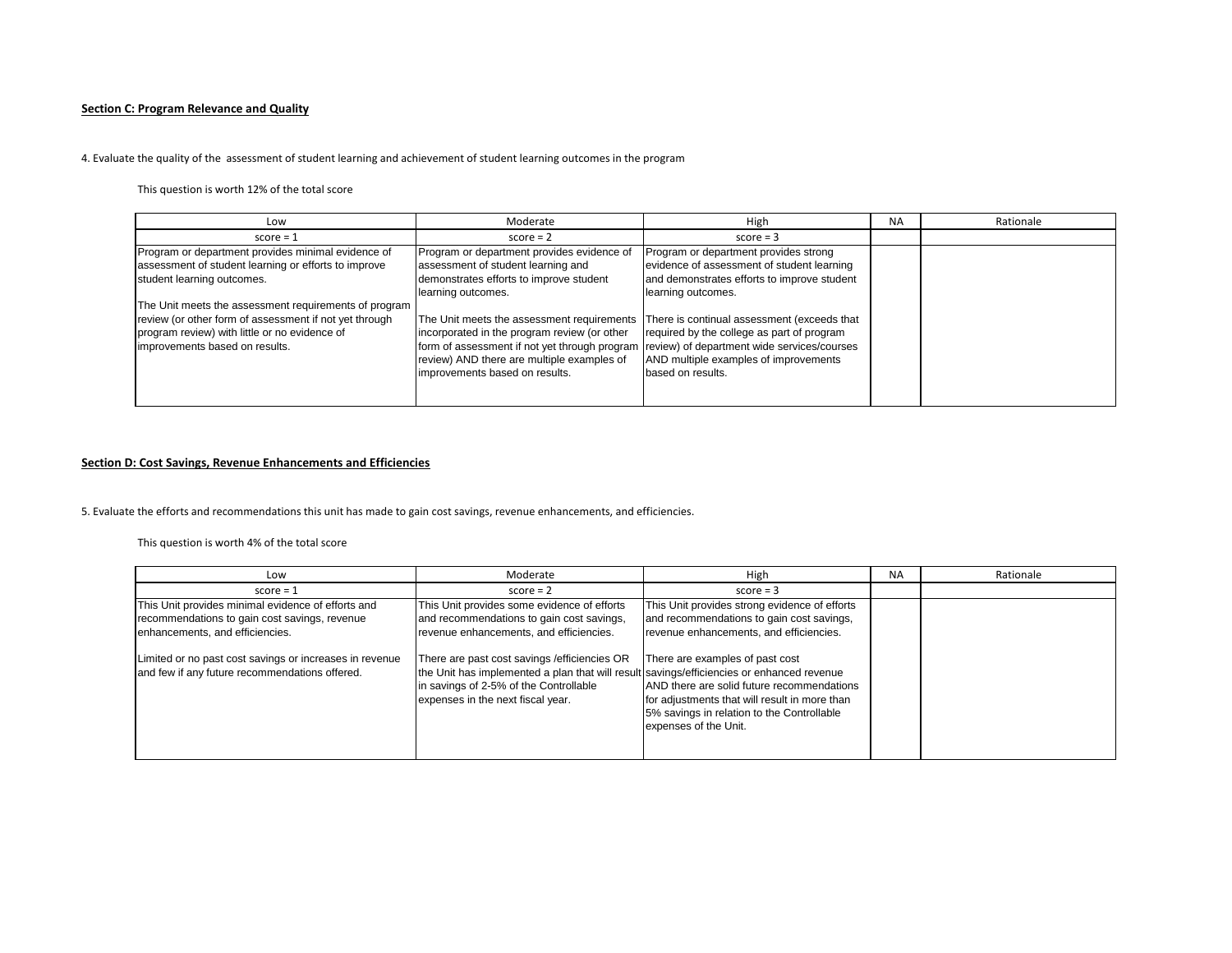### **Section C: Program Relevance and Quality**

#### 4. Evaluate the quality of the assessment of student learning and achievement of student learning outcomes in the program

This question is worth 12% of the total score

| Low                                                                                                                                                                                                | Moderate                                                                                                                                                                                                                                                                 | High                                                                                                                                                     | <b>NA</b> | Rationale |
|----------------------------------------------------------------------------------------------------------------------------------------------------------------------------------------------------|--------------------------------------------------------------------------------------------------------------------------------------------------------------------------------------------------------------------------------------------------------------------------|----------------------------------------------------------------------------------------------------------------------------------------------------------|-----------|-----------|
| $score = 1$                                                                                                                                                                                        | $score = 2$                                                                                                                                                                                                                                                              | $score = 3$                                                                                                                                              |           |           |
| Program or department provides minimal evidence of<br>assessment of student learning or efforts to improve<br>student learning outcomes.                                                           | Program or department provides evidence of<br>assessment of student learning and<br>demonstrates efforts to improve student<br>learning outcomes.                                                                                                                        | Program or department provides strong<br>evidence of assessment of student learning<br>and demonstrates efforts to improve student<br>learning outcomes. |           |           |
| The Unit meets the assessment requirements of program<br>review (or other form of assessment if not yet through<br>program review) with little or no evidence of<br>improvements based on results. | The Unit meets the assessment requirements<br>incorporated in the program review (or other<br>form of assessment if not yet through program (review) of department wide services/courses<br>review) AND there are multiple examples of<br>improvements based on results. | There is continual assessment (exceeds that<br>required by the college as part of program<br>AND multiple examples of improvements<br>based on results.  |           |           |

#### **Section D: Cost Savings, Revenue Enhancements and Efficiencies**

5. Evaluate the efforts and recommendations this unit has made to gain cost savings, revenue enhancements, and efficiencies.

This question is worth 4% of the total score

| Low                                                                                                                                    | Moderate                                                                                                                                                                                                                  | High                                                                                                                                                                                                  | <b>NA</b> | Rationale |
|----------------------------------------------------------------------------------------------------------------------------------------|---------------------------------------------------------------------------------------------------------------------------------------------------------------------------------------------------------------------------|-------------------------------------------------------------------------------------------------------------------------------------------------------------------------------------------------------|-----------|-----------|
| $score = 1$                                                                                                                            | $score = 2$                                                                                                                                                                                                               | $score = 3$                                                                                                                                                                                           |           |           |
| This Unit provides minimal evidence of efforts and<br>recommendations to gain cost savings, revenue<br>enhancements, and efficiencies. | This Unit provides some evidence of efforts<br>and recommendations to gain cost savings,<br>revenue enhancements, and efficiencies.                                                                                       | This Unit provides strong evidence of efforts<br>and recommendations to gain cost savings,<br>revenue enhancements, and efficiencies.                                                                 |           |           |
| Limited or no past cost savings or increases in revenue<br>and few if any future recommendations offered.                              | There are past cost savings / efficiencies OR<br>the Unit has implemented a plan that will result savings/efficiencies or enhanced revenue<br>in savings of 2-5% of the Controllable<br>expenses in the next fiscal year. | There are examples of past cost<br>AND there are solid future recommendations<br>for adjustments that will result in more than<br>5% savings in relation to the Controllable<br>expenses of the Unit. |           |           |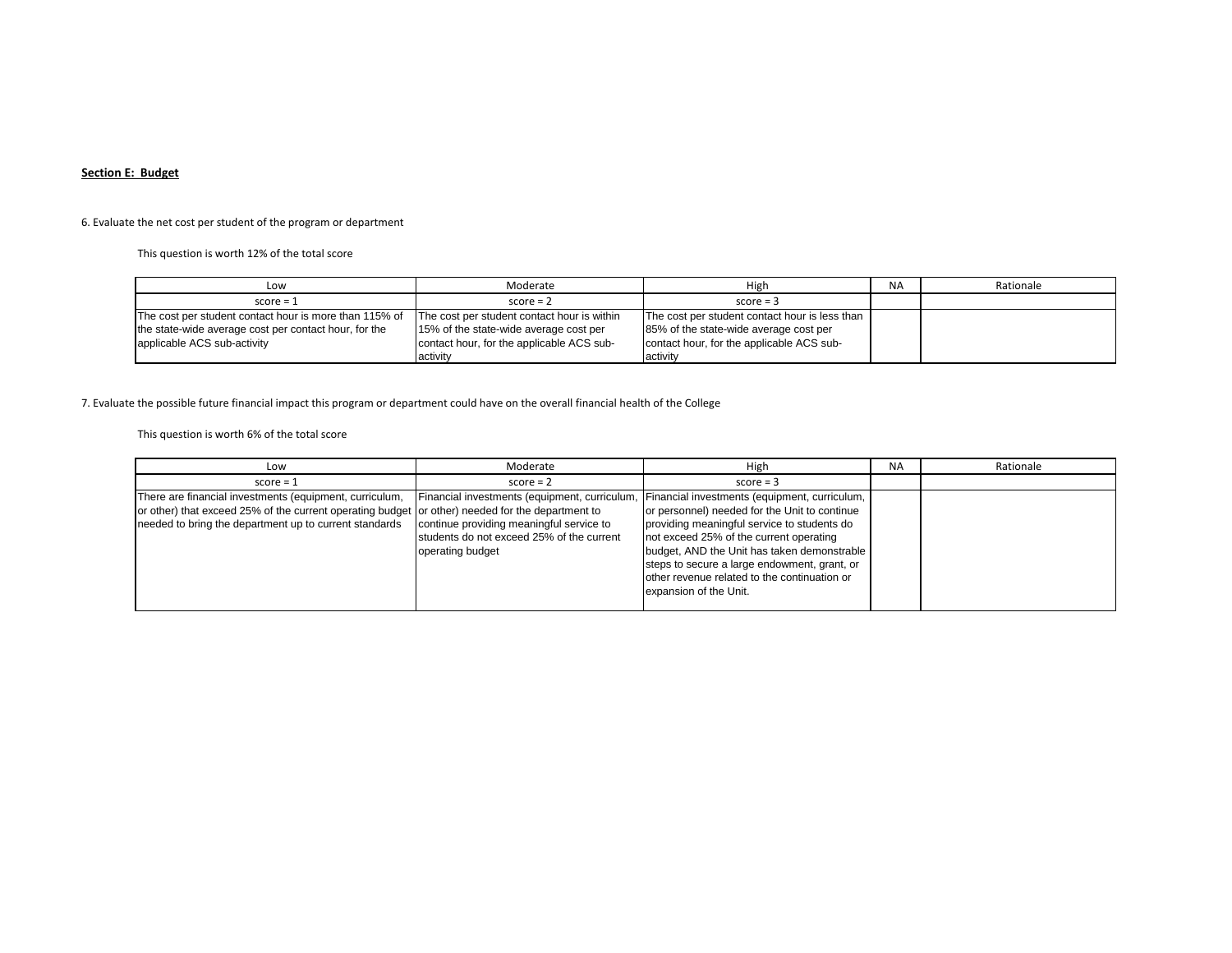### **Section E: Budget**

## 6. Evaluate the net cost per student of the program or department

This question is worth 12% of the total score

| Low                                                    | Moderate                                    | High                                           | <b>NA</b> | Rationale |
|--------------------------------------------------------|---------------------------------------------|------------------------------------------------|-----------|-----------|
| $score = 1$                                            | $score = 2$                                 | $score = 3$                                    |           |           |
| The cost per student contact hour is more than 115% of | The cost per student contact hour is within | The cost per student contact hour is less than |           |           |
| the state-wide average cost per contact hour, for the  | 15% of the state-wide average cost per      | 85% of the state-wide average cost per         |           |           |
| applicable ACS sub-activity                            | contact hour, for the applicable ACS sub-   | contact hour, for the applicable ACS sub-      |           |           |
|                                                        | activity                                    | activity                                       |           |           |

## 7. Evaluate the possible future financial impact this program or department could have on the overall financial health of the College

This question is worth 6% of the total score

| Low                                                                                                                                                                                                                   | Moderate                                                                                                                                                  | High                                                                                                                                                                                                                                                                                                                                                              | <b>NA</b> | Rationale |
|-----------------------------------------------------------------------------------------------------------------------------------------------------------------------------------------------------------------------|-----------------------------------------------------------------------------------------------------------------------------------------------------------|-------------------------------------------------------------------------------------------------------------------------------------------------------------------------------------------------------------------------------------------------------------------------------------------------------------------------------------------------------------------|-----------|-----------|
| $score = 1$                                                                                                                                                                                                           | $score = 2$                                                                                                                                               | $score = 3$                                                                                                                                                                                                                                                                                                                                                       |           |           |
| There are financial investments (equipment, curriculum,<br>or other) that exceed 25% of the current operating budget or other) needed for the department to<br>needed to bring the department up to current standards | Financial investments (equipment, curriculum<br>continue providing meaningful service to<br>students do not exceed 25% of the current<br>operating budget | Financial investments (equipment, curriculum,<br>or personnel) needed for the Unit to continue<br>providing meaningful service to students do<br>not exceed 25% of the current operating<br>budget, AND the Unit has taken demonstrable<br>steps to secure a large endowment, grant, or<br>other revenue related to the continuation or<br>expansion of the Unit. |           |           |